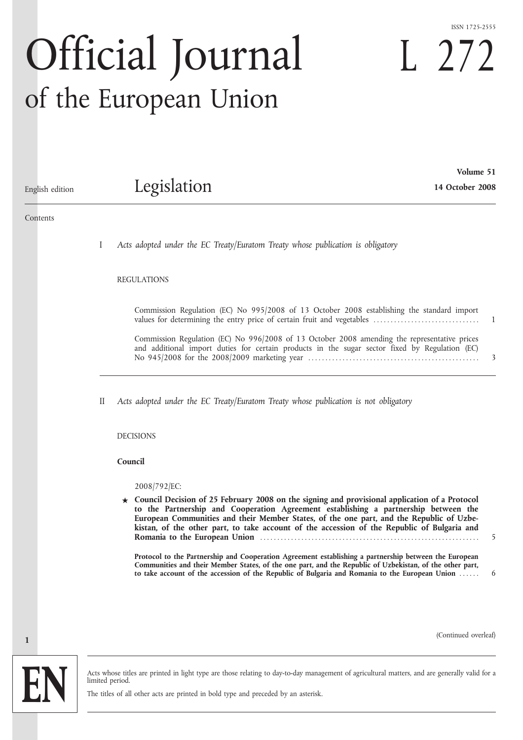#### ISSN 1725-2555

L 272

# Official Journal of the European Union

**Volume 51** Legislation **14 October 2008**

# English edition

#### Contents

I *Acts adopted under the EC Treaty/Euratom Treaty whose publication is obligatory*

#### REGULATIONS

Commission Regulation (EC) No 995/2008 of 13 October 2008 establishing the standard import values for determining the entry price of certain fruit and vegetables ............................... 1

Commission Regulation (EC) No 996/2008 of 13 October 2008 amending the representative prices and additional import duties for certain products in the sugar sector fixed by Regulation (EC) No 945/2008 for the 2008/2009 marketing year .................................................. 3

II *Acts adopted under the EC Treaty/Euratom Treaty whose publication is not obligatory*

#### DECISIONS

#### **Council**

2008/792/EC:

**★ Council Decision of 25 February 2008 on the signing and provisional application of a Protocol to the Partnership and Cooperation Agreement establishing a partnership between the European Communities and their Member States, of the one part, and the Republic of Uzbekistan, of the other part, to take account of the accession of the Republic of Bulgaria and Romania to the European Union** ................................................................ 5

**Protocol to the Partnership and Cooperation Agreement establishing a partnership between the European Communities and their Member States, of the one part, and the Republic of Uzbekistan, of the other part, to take account of the accession of the Republic of Bulgaria and Romania to the European Union** ...... 6

(Continued overleaf)



**1**

Acts whose titles are printed in light type are those relating to day-to-day management of agricultural matters, and are generally valid for a limited period.

The titles of all other acts are printed in bold type and preceded by an asterisk.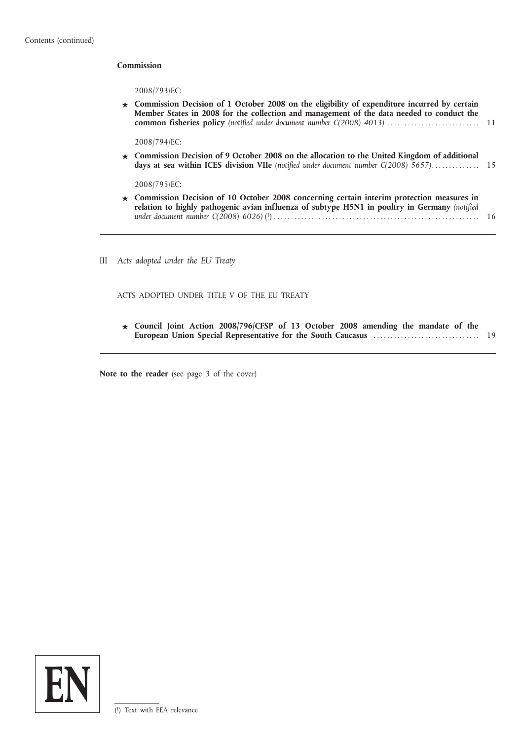#### **Commission**

2008/793/EC:

**★ Commission Decision of 1 October 2008 on the eligibility of expenditure incurred by certain Member States in 2008 for the collection and management of the data needed to conduct the common fisheries policy** *(notified under document number C(2008) 4013)* ........................... 11

2008/794/EC:

**★ Commission Decision of 9 October 2008 on the allocation to the United Kingdom of additional days at sea within ICES division VIIe** *(notified under document number C(2008) 5657)*.............. 15

2008/795/EC:

- **★ Commission Decision of 10 October 2008 concerning certain interim protection measures in relation to highly pathogenic avian influenza of subtype H5N1 in poultry in Germany** *(notified under document number C(2008) 6026)* ( 1) ............................................................ 16
- III *Acts adopted under the EU Treaty*

ACTS ADOPTED UNDER TITLE V OF THE EU TREATY

**★ Council Joint Action 2008/796/CFSP of 13 October 2008 amending the mandate of the European Union Special Representative for the South Caucasus** ............................... 19

**Note to the reader** (see page 3 of the cover)

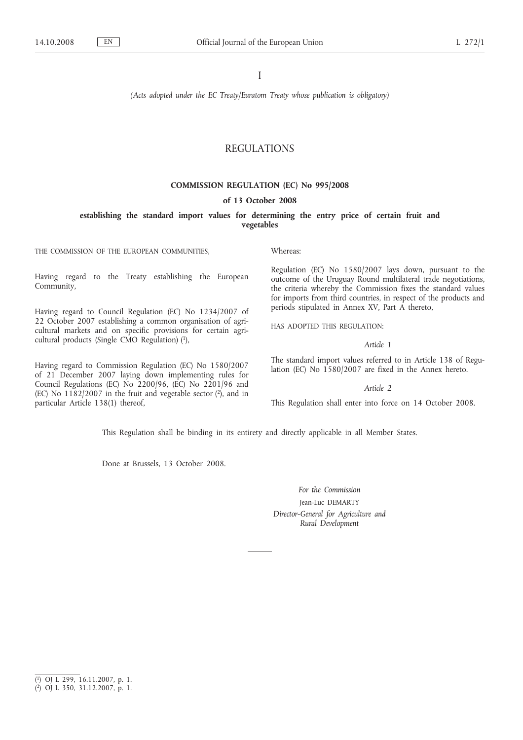I

*(Acts adopted under the EC Treaty/Euratom Treaty whose publication is obligatory)*

# REGULATIONS

#### **COMMISSION REGULATION (EC) No 995/2008**

#### **of 13 October 2008**

**establishing the standard import values for determining the entry price of certain fruit and vegetables**

THE COMMISSION OF THE EUROPEAN COMMUNITIES,

Having regard to the Treaty establishing the European Community,

Having regard to Council Regulation (EC) No 1234/2007 of 22 October 2007 establishing a common organisation of agricultural markets and on specific provisions for certain agricultural products (Single CMO Regulation) (1),

Having regard to Commission Regulation (EC) No 1580/2007 of 21 December 2007 laying down implementing rules for Council Regulations (EC) No 2200/96, (EC) No 2201/96 and (EC) No  $1182/2007$  in the fruit and vegetable sector (2), and in particular Article 138(1) thereof,

Whereas:

Regulation (EC) No 1580/2007 lays down, pursuant to the outcome of the Uruguay Round multilateral trade negotiations, the criteria whereby the Commission fixes the standard values for imports from third countries, in respect of the products and periods stipulated in Annex XV, Part A thereto,

HAS ADOPTED THIS REGULATION:

*Article 1*

The standard import values referred to in Article 138 of Regulation (EC) No 1580/2007 are fixed in the Annex hereto.

*Article 2*

This Regulation shall enter into force on 14 October 2008.

This Regulation shall be binding in its entirety and directly applicable in all Member States.

Done at Brussels, 13 October 2008.

*For the Commission* Jean-Luc DEMARTY *Director-General for Agriculture and Rural Development*

<sup>(</sup> 1) OJ L 299, 16.11.2007, p. 1.

<sup>(</sup> 2) OJ L 350, 31.12.2007, p. 1.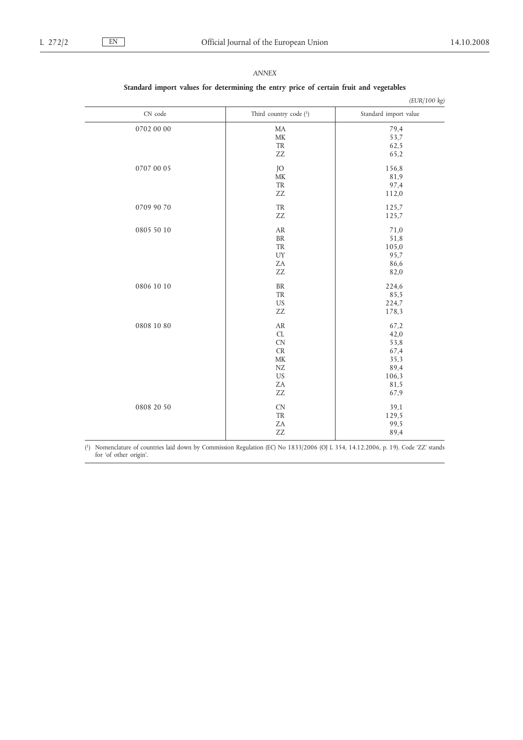| (EUR/100 kg) |                                   |                       |
|--------------|-----------------------------------|-----------------------|
| CN code      | Third country code (1)            | Standard import value |
| 0702 00 00   | MA                                | 79,4                  |
|              | $\ensuremath{\mathsf{MK}}\xspace$ | 53,7                  |
|              | TR                                | 62,5                  |
|              | ZZ                                | 65,2                  |
| 0707 00 05   | JO                                | 156,8                 |
|              | MK                                | 81,9                  |
|              | TR                                | 97,4                  |
|              | ZZ                                | 112,0                 |
| 0709 90 70   | TR                                | 125,7                 |
|              | ZZ                                | 125,7                 |
| 0805 50 10   | ${\sf AR}$                        | 71,0                  |
|              | <b>BR</b>                         | 51,8                  |
|              | TR                                | 105,0                 |
|              | UY                                | 95,7                  |
|              | ZΑ                                | 86,6                  |
|              | ZZ                                | 82,0                  |
| 0806 10 10   | $\rm{BR}$                         | 224,6                 |
|              | TR                                | 85,5                  |
|              | US                                | 224,7                 |
|              | ${\sf ZZ}$                        | 178,3                 |
| 0808 10 80   | ${\sf AR}$                        | 67,2                  |
|              | CL                                | 42,0                  |
|              | <b>CN</b>                         | 53,8                  |
|              | <b>CR</b>                         | 67,4                  |
|              | MK                                | 35,3                  |
|              | ${\rm NZ}$                        | 89,4                  |
|              | <b>US</b>                         | 106,3                 |
|              | ZA                                | 81,5                  |
|              | ZZ                                | 67,9                  |
| 0808 20 50   | <b>CN</b>                         | 39,1                  |
|              | TR                                | 129,5                 |
|              | ZA                                | 99,5                  |
|              | ZZ                                | 89,4                  |

## *ANNEX*

**Standard import values for determining the entry price of certain fruit and vegetables**

( 1) Nomenclature of countries laid down by Commission Regulation (EC) No 1833/2006 (OJ L 354, 14.12.2006, p. 19). Code 'ZZ' stands for 'of other origin'.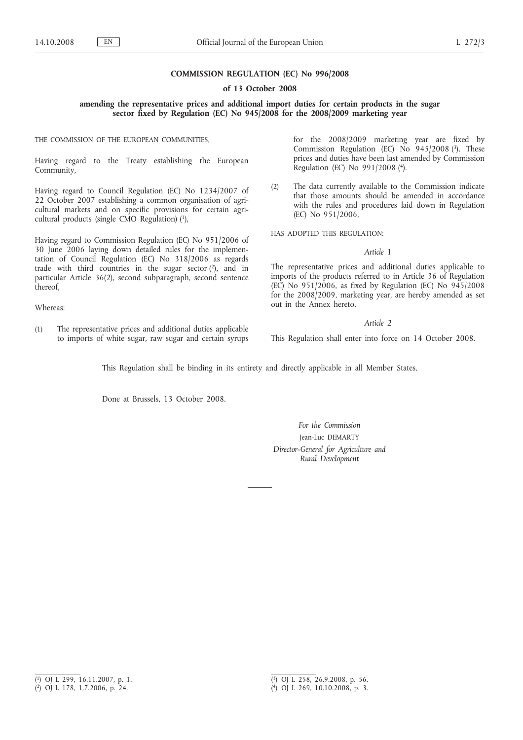## **COMMISSION REGULATION (EC) No 996/2008**

#### **of 13 October 2008**

**amending the representative prices and additional import duties for certain products in the sugar sector fixed by Regulation (EC) No 945/2008 for the 2008/2009 marketing year**

THE COMMISSION OF THE EUROPEAN COMMUNITIES,

Having regard to the Treaty establishing the European Community,

Having regard to Council Regulation (EC) No 1234/2007 of 22 October 2007 establishing a common organisation of agricultural markets and on specific provisions for certain agricultural products (single CMO Regulation) (1),

Having regard to Commission Regulation (EC) No 951/2006 of 30 June 2006 laying down detailed rules for the implementation of Council Regulation (EC) No 318/2006 as regards trade with third countries in the sugar sector  $(2)$ , and in particular Article 36(2), second subparagraph, second sentence thereof,

Whereas:

(1) The representative prices and additional duties applicable to imports of white sugar, raw sugar and certain syrups for the 2008/2009 marketing year are fixed by Commission Regulation (EC) No  $945/2008$  (3). These prices and duties have been last amended by Commission Regulation (EC) No 991/2008 (4).

(2) The data currently available to the Commission indicate that those amounts should be amended in accordance with the rules and procedures laid down in Regulation (EC) No 951/2006,

HAS ADOPTED THIS REGULATION:

#### *Article 1*

The representative prices and additional duties applicable to imports of the products referred to in Article 36 of Regulation (EC) No 951/2006, as fixed by Regulation (EC) No 945/2008 for the 2008/2009, marketing year, are hereby amended as set out in the Annex hereto.

#### *Article 2*

This Regulation shall enter into force on 14 October 2008.

This Regulation shall be binding in its entirety and directly applicable in all Member States.

Done at Brussels, 13 October 2008.

*For the Commission* Jean-Luc DEMARTY *Director-General for Agriculture and Rural Development*

<sup>(</sup> 1) OJ L 299, 16.11.2007, p. 1.

<sup>(</sup> 2) OJ L 178, 1.7.2006, p. 24.

<sup>(</sup> 3) OJ L 258, 26.9.2008, p. 56.

<sup>(</sup> 4) OJ L 269, 10.10.2008, p. 3.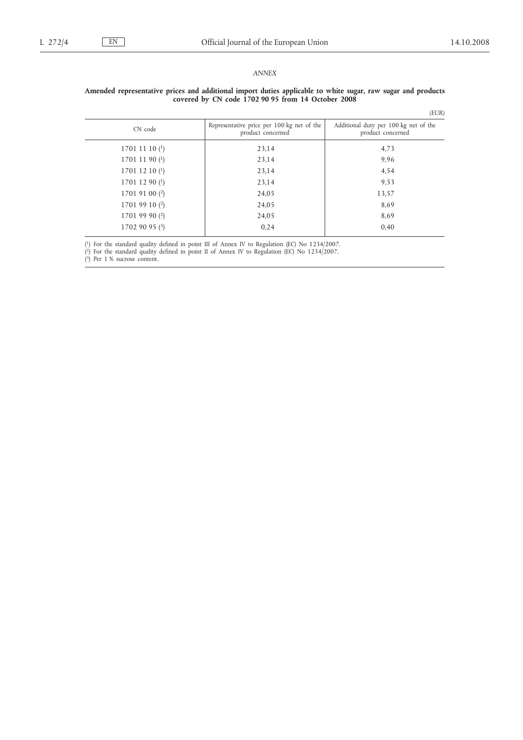## *ANNEX*

#### **Amended representative prices and additional import duties applicable to white sugar, raw sugar and products covered by CN code 1702 90 95 from 14 October 2008**

|                           |                                                                 | (EUR)                                                      |
|---------------------------|-----------------------------------------------------------------|------------------------------------------------------------|
| CN code                   | Representative price per 100 kg net of the<br>product concerned | Additional duty per 100 kg net of the<br>product concerned |
| 17011110 <sup>(1)</sup>   | 23,14                                                           | 4,73                                                       |
| 1701 11 90 $(1)$          | 23,14                                                           | 9,96                                                       |
| 1701 12 10 $(1)$          | 23,14                                                           | 4,54                                                       |
| $1701$ 12 90 $(1)$        | 23,14                                                           | 9,53                                                       |
| 1701 91 00 $(2)$          | 24,05                                                           | 13,57                                                      |
| 1701 99 10 $(2)$          | 24,05                                                           | 8,69                                                       |
| $17019990$ <sup>(2)</sup> | 24,05                                                           | 8,69                                                       |
| 17029095(3)               | 0.24                                                            | 0,40                                                       |
|                           |                                                                 |                                                            |

( 1) For the standard quality defined in point III of Annex IV to Regulation (EC) No 1234/2007.

( 2) For the standard quality defined in point II of Annex IV to Regulation (EC) No 1234/2007.

( 3) Per 1 % sucrose content.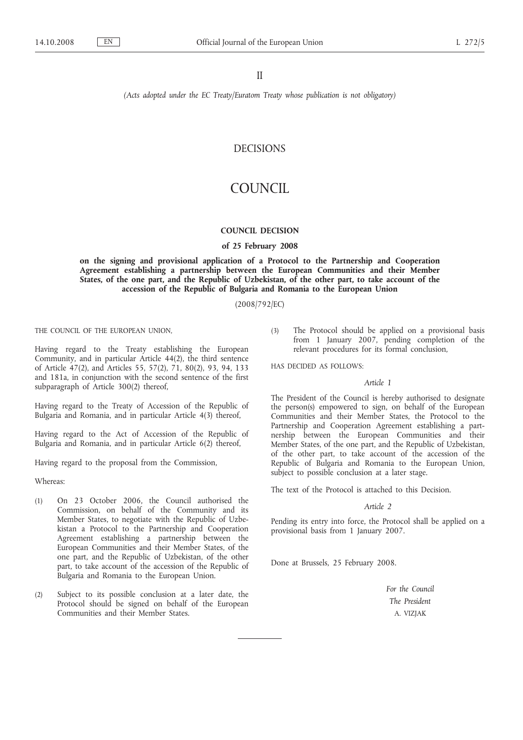II

*(Acts adopted under the EC Treaty/Euratom Treaty whose publication is not obligatory)*

# DECISIONS

# COUNCIL

#### **COUNCIL DECISION**

#### **of 25 February 2008**

**on the signing and provisional application of a Protocol to the Partnership and Cooperation Agreement establishing a partnership between the European Communities and their Member States, of the one part, and the Republic of Uzbekistan, of the other part, to take account of the accession of the Republic of Bulgaria and Romania to the European Union**

(2008/792/EC)

THE COUNCIL OF THE EUROPEAN UNION,

Having regard to the Treaty establishing the European Community, and in particular Article 44(2), the third sentence of Article 47(2), and Articles 55, 57(2), 71, 80(2), 93, 94, 133 and 181a, in conjunction with the second sentence of the first subparagraph of Article 300(2) thereof,

Having regard to the Treaty of Accession of the Republic of Bulgaria and Romania, and in particular Article 4(3) thereof,

Having regard to the Act of Accession of the Republic of Bulgaria and Romania, and in particular Article 6(2) thereof,

Having regard to the proposal from the Commission,

Whereas:

- (1) On 23 October 2006, the Council authorised the Commission, on behalf of the Community and its Member States, to negotiate with the Republic of Uzbekistan a Protocol to the Partnership and Cooperation Agreement establishing a partnership between the European Communities and their Member States, of the one part, and the Republic of Uzbekistan, of the other part, to take account of the accession of the Republic of Bulgaria and Romania to the European Union.
- (2) Subject to its possible conclusion at a later date, the Protocol should be signed on behalf of the European Communities and their Member States.

(3) The Protocol should be applied on a provisional basis from 1 January 2007, pending completion of the relevant procedures for its formal conclusion,

HAS DECIDED AS FOLLOWS:

#### *Article 1*

The President of the Council is hereby authorised to designate the person(s) empowered to sign, on behalf of the European Communities and their Member States, the Protocol to the Partnership and Cooperation Agreement establishing a partnership between the European Communities and their Member States, of the one part, and the Republic of Uzbekistan, of the other part, to take account of the accession of the Republic of Bulgaria and Romania to the European Union, subject to possible conclusion at a later stage.

The text of the Protocol is attached to this Decision.

#### *Article 2*

Pending its entry into force, the Protocol shall be applied on a provisional basis from 1 January 2007.

Done at Brussels, 25 February 2008.

*For the Council The President* A. VIZJAK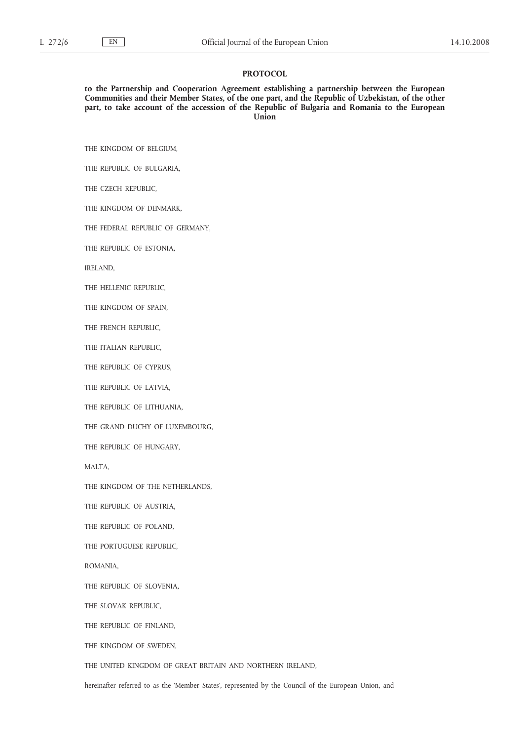#### **PROTOCOL**

**to the Partnership and Cooperation Agreement establishing a partnership between the European Communities and their Member States, of the one part, and the Republic of Uzbekistan, of the other part, to take account of the accession of the Republic of Bulgaria and Romania to the European Union**

THE KINGDOM OF BELGIUM,

THE REPUBLIC OF BULGARIA,

THE CZECH REPUBLIC,

THE KINGDOM OF DENMARK,

THE FEDERAL REPUBLIC OF GERMANY,

THE REPUBLIC OF ESTONIA,

IRELAND,

THE HELLENIC REPUBLIC,

THE KINGDOM OF SPAIN,

THE FRENCH REPUBLIC,

THE ITALIAN REPUBLIC,

THE REPUBLIC OF CYPRUS,

THE REPUBLIC OF LATVIA,

THE REPUBLIC OF LITHUANIA,

THE GRAND DUCHY OF LUXEMBOURG,

THE REPUBLIC OF HUNGARY,

MALTA,

THE KINGDOM OF THE NETHERLANDS,

THE REPUBLIC OF AUSTRIA,

THE REPUBLIC OF POLAND,

THE PORTUGUESE REPUBLIC,

ROMANIA,

THE REPUBLIC OF SLOVENIA,

THE SLOVAK REPUBLIC,

THE REPUBLIC OF FINLAND,

THE KINGDOM OF SWEDEN,

THE UNITED KINGDOM OF GREAT BRITAIN AND NORTHERN IRELAND,

hereinafter referred to as the 'Member States', represented by the Council of the European Union, and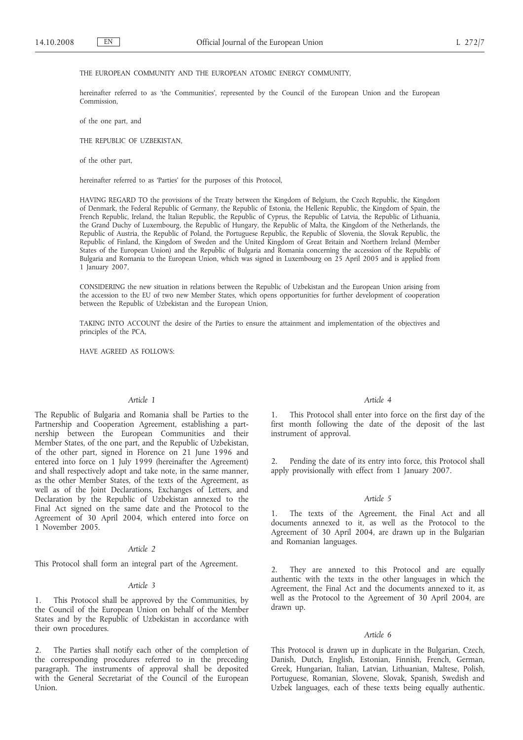#### THE EUROPEAN COMMUNITY AND THE EUROPEAN ATOMIC ENERGY COMMUNITY,

hereinafter referred to as 'the Communities', represented by the Council of the European Union and the European Commission,

of the one part, and

THE REPUBLIC OF UZBEKISTAN,

of the other part,

hereinafter referred to as 'Parties' for the purposes of this Protocol,

HAVING REGARD TO the provisions of the Treaty between the Kingdom of Belgium, the Czech Republic, the Kingdom of Denmark, the Federal Republic of Germany, the Republic of Estonia, the Hellenic Republic, the Kingdom of Spain, the French Republic, Ireland, the Italian Republic, the Republic of Cyprus, the Republic of Latvia, the Republic of Lithuania, the Grand Duchy of Luxembourg, the Republic of Hungary, the Republic of Malta, the Kingdom of the Netherlands, the Republic of Austria, the Republic of Poland, the Portuguese Republic, the Republic of Slovenia, the Slovak Republic, the Republic of Finland, the Kingdom of Sweden and the United Kingdom of Great Britain and Northern Ireland (Member States of the European Union) and the Republic of Bulgaria and Romania concerning the accession of the Republic of Bulgaria and Romania to the European Union, which was signed in Luxembourg on 25 April 2005 and is applied from 1 January 2007,

CONSIDERING the new situation in relations between the Republic of Uzbekistan and the European Union arising from the accession to the EU of two new Member States, which opens opportunities for further development of cooperation between the Republic of Uzbekistan and the European Union,

TAKING INTO ACCOUNT the desire of the Parties to ensure the attainment and implementation of the objectives and principles of the PCA,

HAVE AGREED AS FOLLOWS:

#### *Article 1*

The Republic of Bulgaria and Romania shall be Parties to the Partnership and Cooperation Agreement, establishing a partnership between the European Communities and their Member States, of the one part, and the Republic of Uzbekistan, of the other part, signed in Florence on 21 June 1996 and entered into force on 1 July 1999 (hereinafter the Agreement) and shall respectively adopt and take note, in the same manner, as the other Member States, of the texts of the Agreement, as well as of the Joint Declarations, Exchanges of Letters, and Declaration by the Republic of Uzbekistan annexed to the Final Act signed on the same date and the Protocol to the Agreement of 30 April 2004, which entered into force on 1 November 2005.

#### *Article 2*

This Protocol shall form an integral part of the Agreement.

#### *Article 3*

1. This Protocol shall be approved by the Communities, by the Council of the European Union on behalf of the Member States and by the Republic of Uzbekistan in accordance with their own procedures.

2. The Parties shall notify each other of the completion of the corresponding procedures referred to in the preceding paragraph. The instruments of approval shall be deposited with the General Secretariat of the Council of the European Union.

#### *Article 4*

1. This Protocol shall enter into force on the first day of the first month following the date of the deposit of the last instrument of approval.

2. Pending the date of its entry into force, this Protocol shall apply provisionally with effect from 1 January 2007.

#### *Article 5*

1. The texts of the Agreement, the Final Act and all documents annexed to it, as well as the Protocol to the Agreement of 30 April 2004, are drawn up in the Bulgarian and Romanian languages.

2. They are annexed to this Protocol and are equally authentic with the texts in the other languages in which the Agreement, the Final Act and the documents annexed to it, as well as the Protocol to the Agreement of 30 April 2004, are drawn up.

#### *Article 6*

This Protocol is drawn up in duplicate in the Bulgarian, Czech, Danish, Dutch, English, Estonian, Finnish, French, German, Greek, Hungarian, Italian, Latvian, Lithuanian, Maltese, Polish, Portuguese, Romanian, Slovene, Slovak, Spanish, Swedish and Uzbek languages, each of these texts being equally authentic.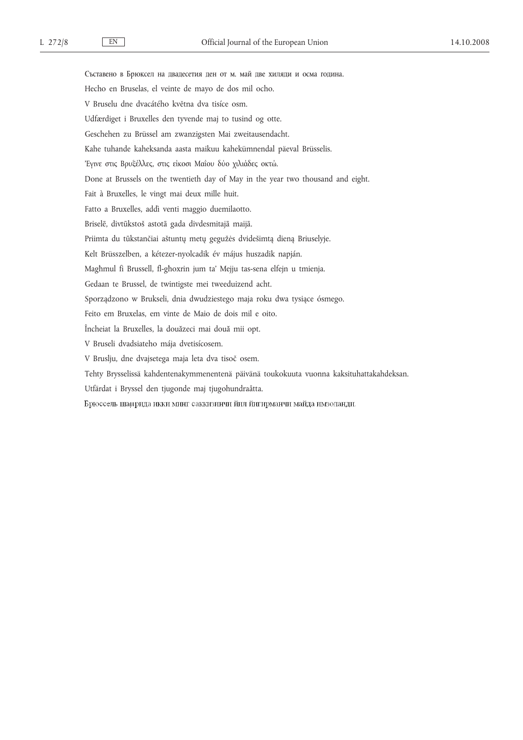Съставено в Брюксел на двадесетия ден от м. май две хиляди и осма година. Hecho en Bruselas, el veinte de mayo de dos mil ocho. V Bruselu dne dvacátého května dva tisíce osm. Udfærdiget i Bruxelles den tyvende maj to tusind og otte. Geschehen zu Brüssel am zwanzigsten Mai zweitausendacht. Kahe tuhande kaheksanda aasta maikuu kahekümnendal päeval Brüsselis. 'Εγινε στις Βρυξέλλες, στις είκοσι Μαΐου δύο χιλιάδες οκτώ. Done at Brussels on the twentieth day of May in the year two thousand and eight. Fait à Bruxelles, le vingt mai deux mille huit. Fatto a Bruxelles, addì venti maggio duemilaotto. Briselē, divtūkstoš astotā gada divdesmitajā maijā. Priimta du tūkstančiai aštuntų metų gegužės dvidešimtą dieną Briuselyje. Kelt Brüsszelben, a kétezer-nyolcadik év május huszadik napján. Magħmul fi Brussell, fl-għoxrin jum ta' Mejju tas-sena elfejn u tmienja. Gedaan te Brussel, de twintigste mei tweeduizend acht. Sporządzono w Brukseli, dnia dwudziestego maja roku dwa tysiące ósmego. Feito em Bruxelas, em vinte de Maio de dois mil e oito. Încheiat la Bruxelles, la douăzeci mai două mii opt. V Bruseli dvadsiateho mája dvetisícosem. V Bruslju, dne dvajsetega maja leta dva tisoč osem. Tehty Brysselissä kahdentenakymmenentenä päivänä toukokuuta vuonna kaksituhattakahdeksan. Utfärdat i Bryssel den tjugonde maj tjugohundraåtta. Брюссель шаµрида икки минг саккизинчи йил йигирманчи майда имзоланди.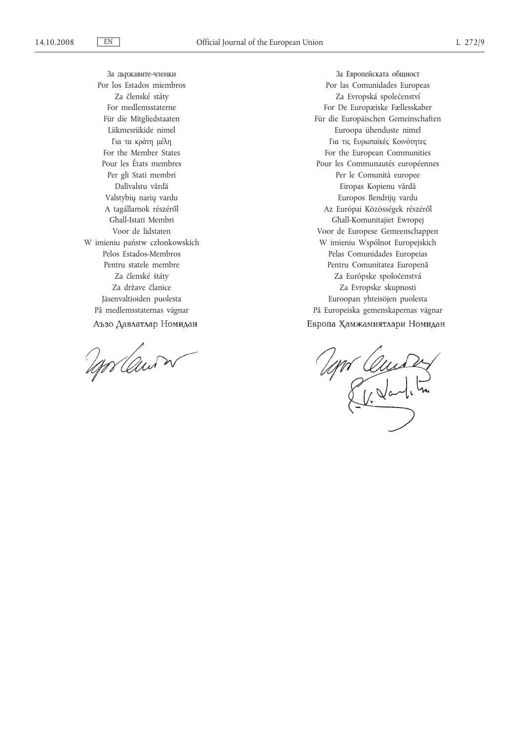За дьржавите-членки Por los Estados miembros Za členské státy For medlemsstaterne Für die Mitgliedstaaten Liikmesriikide nimel Για τα κράτη μέλη For the Member States Pour les États membres Per gli Stati membri Dalīvalstu vārdā Valstybių narių vardu A tagállamok részéről Għall-Istati Membri Voor de lidstaten W imieniu państw członkowskich Pelos Estados-Membros Pentru statele membre Za členské štáty Za države članice Jäsenvaltioiden puolesta På medlemsstaternas vägnar Аъзо Давлатлар Номидан

Mr Cawn

За Европейската общност Por las Comunidades Europeas Za Evropská společenství For De Europæiske Fællesskaber Für die Europäischen Gemeinschaften Euroopa ühenduste nimel Για τις Ευρωπαϊκές Κοινότητες For the European Communities Pour les Communautés européennes Per le Comunità europee Eiropas Kopienu vārdā Europos Bendrijų vardu Az Európai Közösségek részéről Għall-Komunitajiet Ewropej Voor de Europese Gemeenschappen W imieniu Wspólnot Europejskich Pelas Comunidades Europeias Pentru Comunitatea Europenă Za Európske spoločenstvá Za Evropske skupnosti Euroopan yhteisöjen puolesta På Europeiska gemenskapernas vägnar Европа Хамжамиятлари Номидан

Mr Quides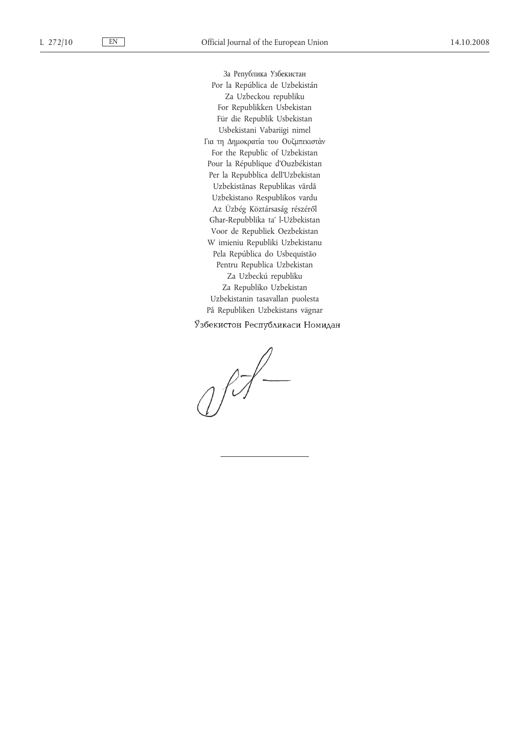За Република Узбекистан Por la República de Uzbekistán Za Uzbeckou republiku For Republikken Usbekistan Für die Republik Usbekistan Usbekistani Vabariigi nimel Για τη Δημοκρατία του Ουζμπεκιστάν For the Republic of Uzbekistan Pour la République d'Ouzbékistan Per la Repubblica dell'Uzbekistan Uzbekistānas Republikas vārdā Uzbekistano Respublikos vardu Az Üzbég Köztársaság részéről Għar-Repubblika ta' l-Użbekistan Voor de Republiek Oezbekistan W imieniu Republiki Uzbekistanu Pela República do Usbequistão Pentru Republica Uzbekistan Za Uzbeckú republiku Za Republiko Uzbekistan Uzbekistanin tasavallan puolesta På Republiken Uzbekistans vägnar

Ўзбекистон Республикаси Номидан

 $1/7$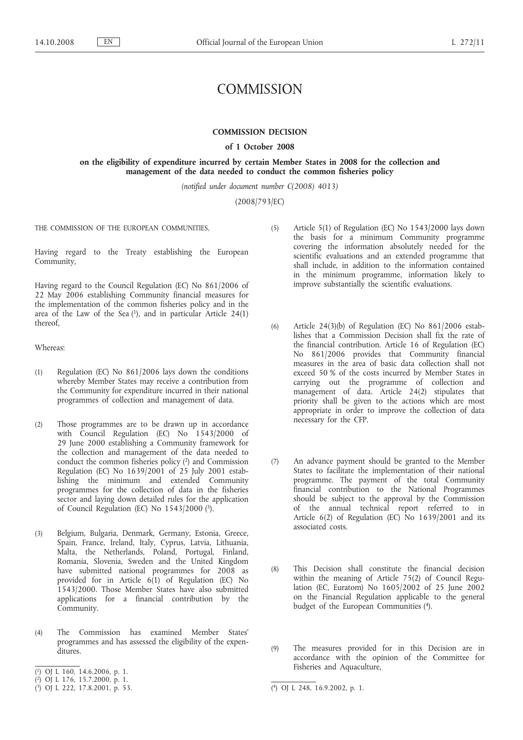# **COMMISSION**

#### **COMMISSION DECISION**

#### **of 1 October 2008**

#### **on the eligibility of expenditure incurred by certain Member States in 2008 for the collection and management of the data needed to conduct the common fisheries policy**

*(notified under document number C(2008) 4013)*

(2008/793/EC)

THE COMMISSION OF THE EUROPEAN COMMUNITIES,

Having regard to the Treaty establishing the European Community,

Having regard to the Council Regulation (EC) No 861/2006 of 22 May 2006 establishing Community financial measures for the implementation of the common fisheries policy and in the area of the Law of the Sea  $(1)$ , and in particular Article 24 $(1)$ thereof,

Whereas:

- (1) Regulation (EC) No 861/2006 lays down the conditions whereby Member States may receive a contribution from the Community for expenditure incurred in their national programmes of collection and management of data.
- (2) Those programmes are to be drawn up in accordance with Council Regulation (EC) No 1543/2000 of 29 June 2000 establishing a Community framework for the collection and management of the data needed to conduct the common fisheries policy (2) and Commission Regulation (EC) No 1639/2001 of 25 July 2001 establishing the minimum and extended Community programmes for the collection of data in the fisheries sector and laying down detailed rules for the application of Council Regulation (EC) No 1543/2000 (3).
- (3) Belgium, Bulgaria, Denmark, Germany, Estonia, Greece, Spain, France, Ireland, Italy, Cyprus, Latvia, Lithuania, Malta, the Netherlands, Poland, Portugal, Finland, Romania, Slovenia, Sweden and the United Kingdom have submitted national programmes for 2008 as provided for in Article  $6(1)$  of Regulation (EC) No 1543/2000. Those Member States have also submitted applications for a financial contribution by the Community.
- (4) The Commission has examined Member States' programmes and has assessed the eligibility of the expenditures.
- ( 1) OJ L 160, 14.6.2006, p. 1.
- ( 2) OJ L 176, 15.7.2000, p. 1.
- (5) Article 5(1) of Regulation (EC) No 1543/2000 lays down the basis for a minimum Community programme covering the information absolutely needed for the scientific evaluations and an extended programme that shall include, in addition to the information contained in the minimum programme, information likely to improve substantially the scientific evaluations.
- (6) Article 24(3)(b) of Regulation (EC) No 861/2006 establishes that a Commission Decision shall fix the rate of the financial contribution. Article 16 of Regulation (EC) No 861/2006 provides that Community financial measures in the area of basic data collection shall not exceed 50 % of the costs incurred by Member States in carrying out the programme of collection and management of data. Article 24(2) stipulates that priority shall be given to the actions which are most appropriate in order to improve the collection of data necessary for the CFP.
- (7) An advance payment should be granted to the Member States to facilitate the implementation of their national programme. The payment of the total Community financial contribution to the National Programmes should be subject to the approval by the Commission of the annual technical report referred to in Article 6(2) of Regulation (EC) No 1639/2001 and its associated costs.
- (8) This Decision shall constitute the financial decision within the meaning of Article 75(2) of Council Regulation (EC, Euratom) No 1605/2002 of 25 June 2002 on the Financial Regulation applicable to the general budget of the European Communities (4).
- (9) The measures provided for in this Decision are in accordance with the opinion of the Committee for Fisheries and Aquaculture,

<sup>(</sup> 3) OJ L 222, 17.8.2001, p. 53. (

<sup>4)</sup> OJ L 248, 16.9.2002, p. 1.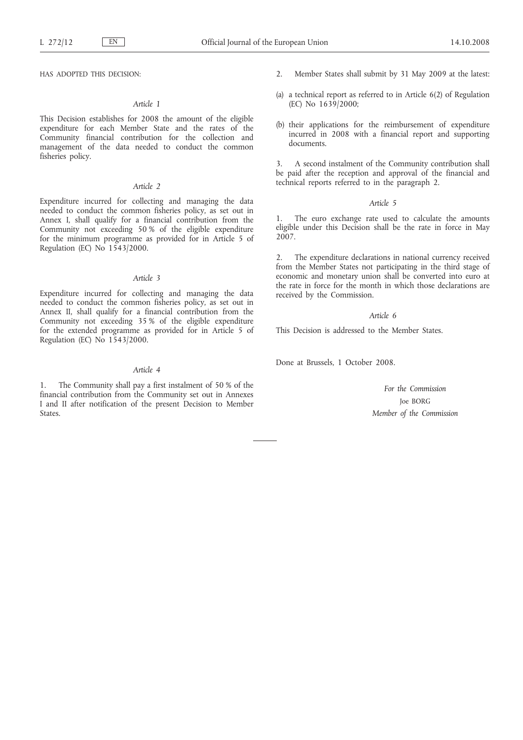HAS ADOPTED THIS DECISION:

#### *Article 1*

This Decision establishes for 2008 the amount of the eligible expenditure for each Member State and the rates of the Community financial contribution for the collection and management of the data needed to conduct the common fisheries policy.

#### *Article 2*

Expenditure incurred for collecting and managing the data needed to conduct the common fisheries policy, as set out in Annex I, shall qualify for a financial contribution from the Community not exceeding 50 % of the eligible expenditure for the minimum programme as provided for in Article 5 of Regulation (EC) No 1543/2000.

#### *Article 3*

Expenditure incurred for collecting and managing the data needed to conduct the common fisheries policy, as set out in Annex II, shall qualify for a financial contribution from the Community not exceeding 35 % of the eligible expenditure for the extended programme as provided for in Article 5 of Regulation (EC) No 1543/2000.

#### *Article 4*

1. The Community shall pay a first instalment of 50 % of the financial contribution from the Community set out in Annexes I and II after notification of the present Decision to Member **States** 

- 2. Member States shall submit by 31 May 2009 at the latest:
- (a) a technical report as referred to in Article 6(2) of Regulation (EC) No 1639/2000;
- (b) their applications for the reimbursement of expenditure incurred in 2008 with a financial report and supporting documents.

3. A second instalment of the Community contribution shall be paid after the reception and approval of the financial and technical reports referred to in the paragraph 2.

#### *Article 5*

1. The euro exchange rate used to calculate the amounts eligible under this Decision shall be the rate in force in May 2007.

2. The expenditure declarations in national currency received from the Member States not participating in the third stage of economic and monetary union shall be converted into euro at the rate in force for the month in which those declarations are received by the Commission.

#### *Article 6*

This Decision is addressed to the Member States.

Done at Brussels, 1 October 2008.

*For the Commission* Joe BORG *Member of the Commission*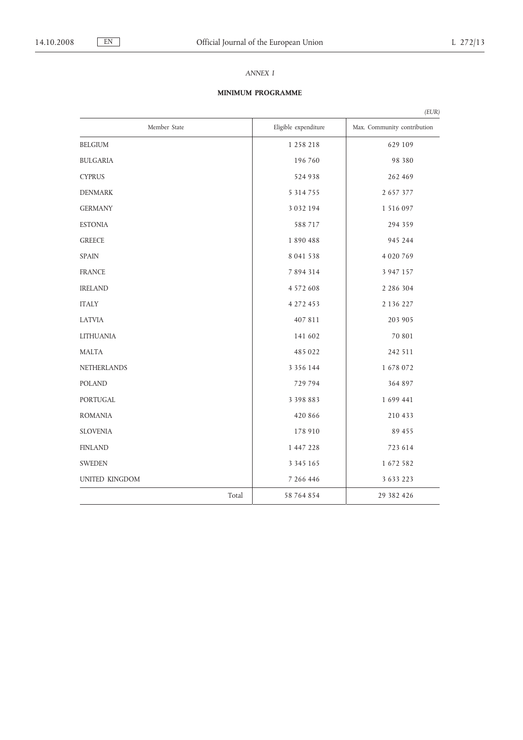# *ANNEX I*

# **MINIMUM PROGRAMME**

|                       |       |                      | (EUR)                       |
|-----------------------|-------|----------------------|-----------------------------|
| Member State          |       | Eligible expenditure | Max. Community contribution |
| <b>BELGIUM</b>        |       | 1 258 218            | 629 109                     |
| <b>BULGARIA</b>       |       | 196 760              | 98 380                      |
| <b>CYPRUS</b>         |       | 524 938              | 262 469                     |
| <b>DENMARK</b>        |       | 5 3 1 4 7 5 5        | 2 6 5 7 3 7 7               |
| <b>GERMANY</b>        |       | 3 0 3 2 1 9 4        | 1 516 097                   |
| <b>ESTONIA</b>        |       | 588 717              | 294 359                     |
| <b>GREECE</b>         |       | 1890488              | 945 244                     |
| <b>SPAIN</b>          |       | 8 041 538            | 4 0 20 7 6 9                |
| <b>FRANCE</b>         |       | 7 8 9 4 3 1 4        | 3 9 4 7 1 5 7               |
| <b>IRELAND</b>        |       | 4 5 7 2 6 0 8        | 2 2 8 6 3 0 4               |
| <b>ITALY</b>          |       | 4 272 453            | 2 1 3 6 2 2 7               |
| <b>LATVIA</b>         |       | 407 811              | 203 905                     |
| <b>LITHUANIA</b>      |       | 141 602              | 70 801                      |
| <b>MALTA</b>          |       | 485 022              | 242 511                     |
| <b>NETHERLANDS</b>    |       | 3 3 5 6 1 4 4        | 1678072                     |
| <b>POLAND</b>         |       | 729 794              | 364 897                     |
| <b>PORTUGAL</b>       |       | 3 3 9 8 8 8 3        | 1 699 441                   |
| <b>ROMANIA</b>        |       | 420 866              | 210 433                     |
| <b>SLOVENIA</b>       |       | 178 910              | 89 455                      |
| <b>FINLAND</b>        |       | 1 447 228            | 723 614                     |
| <b>SWEDEN</b>         |       | 3 3 4 5 1 6 5        | 1 672 582                   |
| <b>UNITED KINGDOM</b> |       | 7 266 446            | 3 6 3 3 2 2 3               |
|                       | Total | 58 764 854           | 29 382 426                  |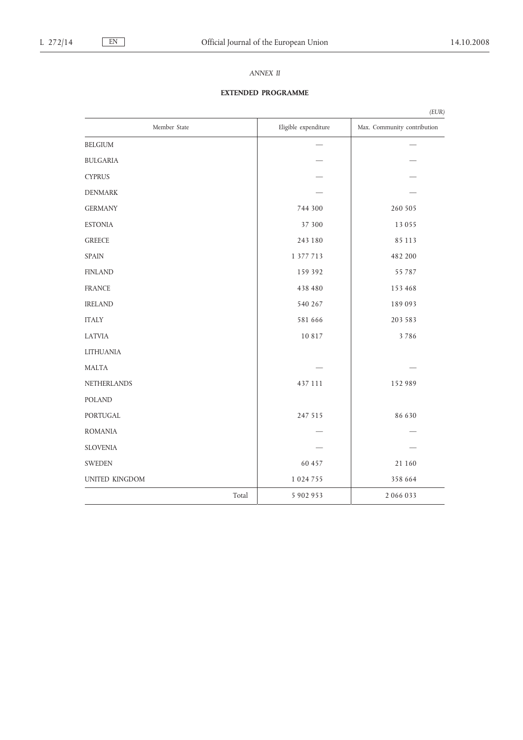# *ANNEX II*

# **EXTENDED PROGRAMME**

|                  |       |                      | (EUR)                       |
|------------------|-------|----------------------|-----------------------------|
| Member State     |       | Eligible expenditure | Max. Community contribution |
| <b>BELGIUM</b>   |       |                      |                             |
| <b>BULGARIA</b>  |       |                      |                             |
| <b>CYPRUS</b>    |       |                      |                             |
| <b>DENMARK</b>   |       |                      |                             |
| <b>GERMANY</b>   |       | 744 300              | 260 505                     |
| <b>ESTONIA</b>   |       | 37 300               | 13 0 5 5                    |
| <b>GREECE</b>    |       | 243 180              | 85 113                      |
| <b>SPAIN</b>     |       | 1 377 713            | 482 200                     |
| <b>FINLAND</b>   |       | 159 392              | 55 787                      |
| <b>FRANCE</b>    |       | 438 480              | 153 468                     |
| <b>IRELAND</b>   |       | 540 267              | 189093                      |
| <b>ITALY</b>     |       | 581 666              | 203 583                     |
| <b>LATVIA</b>    |       | 10 817               | 3786                        |
| <b>LITHUANIA</b> |       |                      |                             |
| <b>MALTA</b>     |       |                      |                             |
| NETHERLANDS      |       | 437 111              | 152 989                     |
| <b>POLAND</b>    |       |                      |                             |
| PORTUGAL         |       | 247 515              | 86 630                      |
| <b>ROMANIA</b>   |       |                      |                             |
| <b>SLOVENIA</b>  |       |                      |                             |
| <b>SWEDEN</b>    |       | 60 457               | 21 160                      |
| UNITED KINGDOM   |       | 1 0 24 7 5 5         | 358 664                     |
|                  | Total | 5 902 953            | 2066033                     |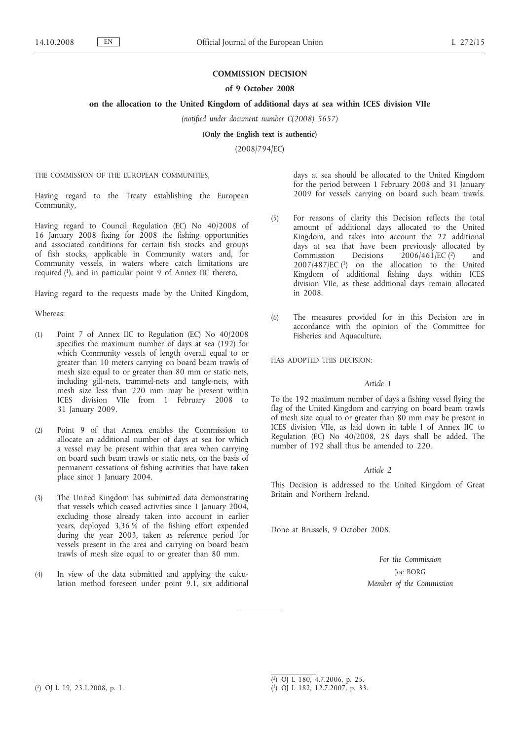#### **COMMISSION DECISION**

#### **of 9 October 2008**

#### **on the allocation to the United Kingdom of additional days at sea within ICES division VIIe**

*(notified under document number C(2008) 5657)*

**(Only the English text is authentic)**

(2008/794/EC)

THE COMMISSION OF THE EUROPEAN COMMUNITIES,

Having regard to the Treaty establishing the European Community,

Having regard to Council Regulation (EC) No 40/2008 of 16 January 2008 fixing for 2008 the fishing opportunities and associated conditions for certain fish stocks and groups of fish stocks, applicable in Community waters and, for Community vessels, in waters where catch limitations are required (1), and in particular point 9 of Annex IIC thereto,

Having regard to the requests made by the United Kingdom,

Whereas:

- (1) Point 7 of Annex IIC to Regulation (EC) No 40/2008 specifies the maximum number of days at sea (192) for which Community vessels of length overall equal to or greater than 10 meters carrying on board beam trawls of mesh size equal to or greater than 80 mm or static nets, including gill-nets, trammel-nets and tangle-nets, with mesh size less than 220 mm may be present within ICES division VIIe from 1 February 2008 to 31 January 2009.
- (2) Point 9 of that Annex enables the Commission to allocate an additional number of days at sea for which a vessel may be present within that area when carrying on board such beam trawls or static nets, on the basis of permanent cessations of fishing activities that have taken place since 1 January 2004.
- (3) The United Kingdom has submitted data demonstrating that vessels which ceased activities since 1 January 2004, excluding those already taken into account in earlier years, deployed 3,36 % of the fishing effort expended during the year 2003, taken as reference period for vessels present in the area and carrying on board beam trawls of mesh size equal to or greater than 80 mm.
- (4) In view of the data submitted and applying the calculation method foreseen under point 9.1, six additional

days at sea should be allocated to the United Kingdom for the period between 1 February 2008 and 31 January 2009 for vessels carrying on board such beam trawls.

- (5) For reasons of clarity this Decision reflects the total amount of additional days allocated to the United Kingdom, and takes into account the 22 additional days at sea that have been previously allocated by Commission Decisions 2006/461/EC (2) and 2007/487/EC (3) on the allocation to the United Kingdom of additional fishing days within ICES division VIIe, as these additional days remain allocated in 2008.
- (6) The measures provided for in this Decision are in accordance with the opinion of the Committee for Fisheries and Aquaculture,

HAS ADOPTED THIS DECISION:

#### *Article 1*

To the 192 maximum number of days a fishing vessel flying the flag of the United Kingdom and carrying on board beam trawls of mesh size equal to or greater than 80 mm may be present in ICES division VIIe, as laid down in table I of Annex IIC to Regulation (EC) No 40/2008, 28 days shall be added. The number of 192 shall thus be amended to 220.

#### *Article 2*

This Decision is addressed to the United Kingdom of Great Britain and Northern Ireland.

Done at Brussels, 9 October 2008.

*For the Commission* Joe BORG *Member of the Commission*

<sup>(</sup> 2) OJ L 180, 4.7.2006, p. 25.

<sup>(</sup> 3) OJ L 182, 12.7.2007, p. 33.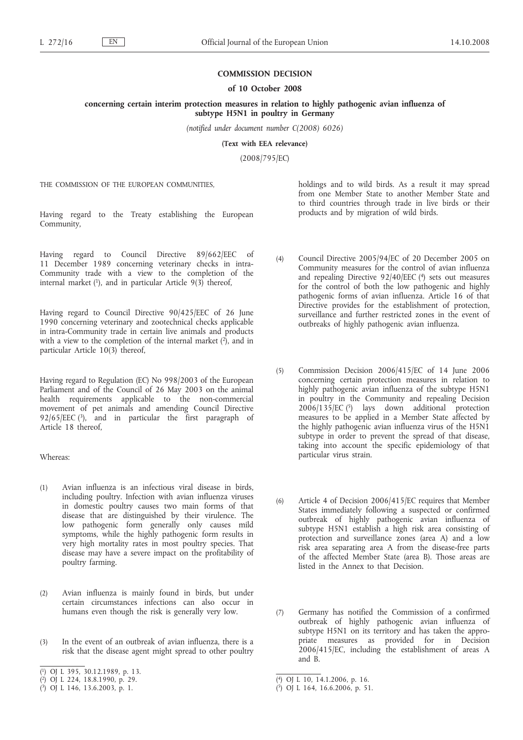#### **COMMISSION DECISION**

**concerning certain interim protection measures in relation to highly pathogenic avian influenza of**

**subtype H5N1 in poultry in Germany** *(notified under document number C(2008) 6026)*

**(Text with EEA relevance)**

(2008/795/EC)

THE COMMISSION OF THE EUROPEAN COMMUNITIES,

Having regard to the Treaty establishing the European Community,

Having regard to Council Directive 89/662/EEC of 11 December 1989 concerning veterinary checks in intra-Community trade with a view to the completion of the internal market  $(1)$ , and in particular Article  $9(3)$  thereof,

Having regard to Council Directive 90/425/EEC of 26 June 1990 concerning veterinary and zootechnical checks applicable in intra-Community trade in certain live animals and products with a view to the completion of the internal market  $(2)$ , and in particular Article 10(3) thereof,

Having regard to Regulation (EC) No 998/2003 of the European Parliament and of the Council of 26 May 2003 on the animal health requirements applicable to the non-commercial movement of pet animals and amending Council Directive 92/65/EEC  $(3)$ , and in particular the first paragraph of Article 18 thereof,

Whereas:

- (1) Avian influenza is an infectious viral disease in birds, including poultry. Infection with avian influenza viruses in domestic poultry causes two main forms of that disease that are distinguished by their virulence. The low pathogenic form generally only causes mild symptoms, while the highly pathogenic form results in very high mortality rates in most poultry species. That disease may have a severe impact on the profitability of poultry farming.
- (2) Avian influenza is mainly found in birds, but under certain circumstances infections can also occur in humans even though the risk is generally very low.
- (3) In the event of an outbreak of avian influenza, there is a risk that the disease agent might spread to other poultry

holdings and to wild birds. As a result it may spread from one Member State to another Member State and to third countries through trade in live birds or their products and by migration of wild birds.

- (4) Council Directive 2005/94/EC of 20 December 2005 on Community measures for the control of avian influenza and repealing Directive 92/40/EEC (4) sets out measures for the control of both the low pathogenic and highly pathogenic forms of avian influenza. Article 16 of that Directive provides for the establishment of protection, surveillance and further restricted zones in the event of outbreaks of highly pathogenic avian influenza.
- (5) Commission Decision 2006/415/EC of 14 June 2006 concerning certain protection measures in relation to highly pathogenic avian influenza of the subtype H5N1 in poultry in the Community and repealing Decision  $2006/135/EC$  (5) lays down additional protection measures to be applied in a Member State affected by the highly pathogenic avian influenza virus of the H5N1 subtype in order to prevent the spread of that disease, taking into account the specific epidemiology of that particular virus strain.
- (6) Article 4 of Decision 2006/415/EC requires that Member States immediately following a suspected or confirmed outbreak of highly pathogenic avian influenza of subtype H5N1 establish a high risk area consisting of protection and surveillance zones (area A) and a low risk area separating area A from the disease-free parts of the affected Member State (area B). Those areas are listed in the Annex to that Decision.
- (7) Germany has notified the Commission of a confirmed outbreak of highly pathogenic avian influenza of subtype H5N1 on its territory and has taken the appropriate measures as provided for in Decision 2006/415/EC, including the establishment of areas A and B.

<sup>(</sup> 1) OJ L 395, 30.12.1989, p. 13.

<sup>(</sup> 2) OJ L 224, 18.8.1990, p. 29.

<sup>(</sup> 3) OJ L 146, 13.6.2003, p. 1.

<sup>(</sup> 4) OJ L 10, 14.1.2006, p. 16.

<sup>(</sup> 5) OJ L 164, 16.6.2006, p. 51.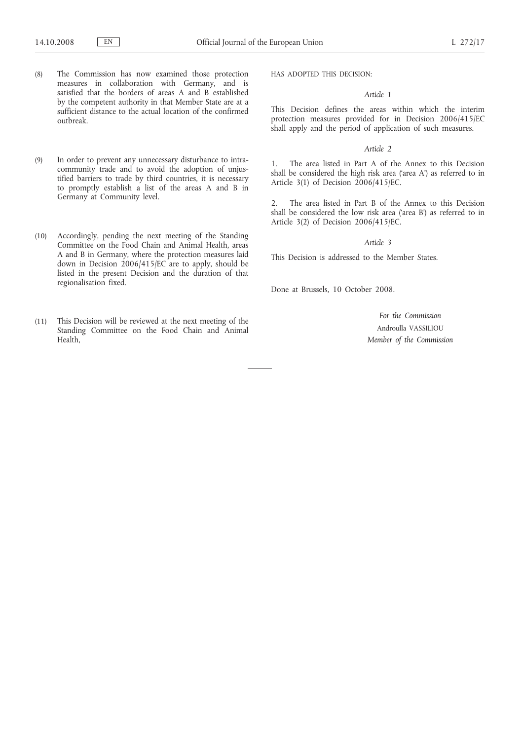- (8) The Commission has now examined those protection measures in collaboration with Germany, and is satisfied that the borders of areas A and B established by the competent authority in that Member State are at a sufficient distance to the actual location of the confirmed outbreak.
- (9) In order to prevent any unnecessary disturbance to intracommunity trade and to avoid the adoption of unjustified barriers to trade by third countries, it is necessary to promptly establish a list of the areas A and B in Germany at Community level.
- (10) Accordingly, pending the next meeting of the Standing Committee on the Food Chain and Animal Health, areas A and B in Germany, where the protection measures laid down in Decision  $2006/415/EC$  are to apply, should be listed in the present Decision and the duration of that regionalisation fixed.
- (11) This Decision will be reviewed at the next meeting of the Standing Committee on the Food Chain and Animal Health,

HAS ADOPTED THIS DECISION:

#### *Article 1*

This Decision defines the areas within which the interim protection measures provided for in Decision 2006/415/EC shall apply and the period of application of such measures.

#### *Article 2*

1. The area listed in Part A of the Annex to this Decision shall be considered the high risk area ('area A') as referred to in Article 3(1) of Decision 2006/415/EC.

2. The area listed in Part B of the Annex to this Decision shall be considered the low risk area ('area B') as referred to in Article 3(2) of Decision 2006/415/EC.

*Article 3*

This Decision is addressed to the Member States.

Done at Brussels, 10 October 2008.

*For the Commission* Androulla VASSILIOU *Member of the Commission*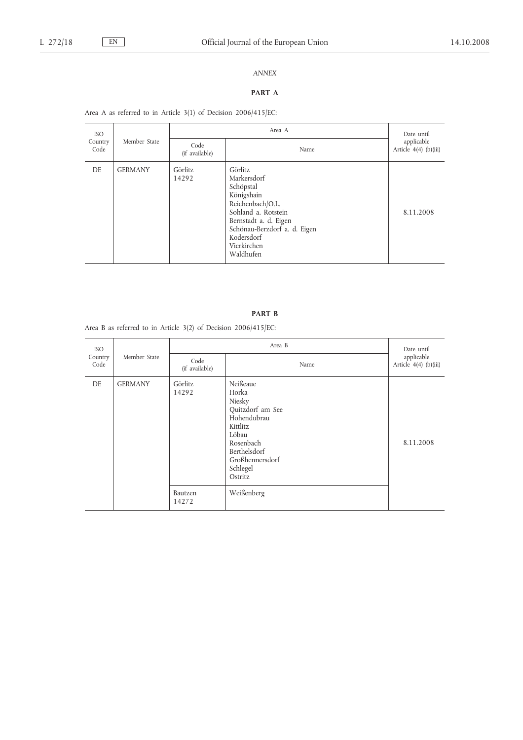# *ANNEX*

# **PART A**

Area A as referred to in Article 3(1) of Decision 2006/415/EC:

| <b>ISO</b><br>Country<br>Code | Member State   |                         | Date until                                                                                                                                                                                      |                                     |
|-------------------------------|----------------|-------------------------|-------------------------------------------------------------------------------------------------------------------------------------------------------------------------------------------------|-------------------------------------|
|                               |                | Code<br>(if available)  | Name                                                                                                                                                                                            | applicable<br>Article 4(4) (b)(iii) |
| DE.                           | <b>GERMANY</b> | <b>Görlitz</b><br>14292 | Görlitz<br>Markersdorf<br>Schöpstal<br>Königshain<br>Reichenbach/O.L.<br>Sohland a. Rotstein<br>Bernstadt a. d. Eigen<br>Schönau-Berzdorf a. d. Eigen<br>Kodersdorf<br>Vierkirchen<br>Waldhufen | 8.11.2008                           |

Area B as referred to in Article 3(2) of Decision 2006/415/EC:

| <b>ISO</b>                      |                        | Area B           |                                                                                                                                                            | Date until<br>applicable<br>Article 4(4) (b)(iii) |
|---------------------------------|------------------------|------------------|------------------------------------------------------------------------------------------------------------------------------------------------------------|---------------------------------------------------|
| Member State<br>Country<br>Code | Code<br>(if available) | Name             |                                                                                                                                                            |                                                   |
| DE                              | <b>GERMANY</b>         | Görlitz<br>14292 | Neißeaue<br>Horka<br>Niesky<br>Quitzdorf am See<br>Hohendubrau<br>Kittlitz<br>Löbau<br>Rosenbach<br>Berthelsdorf<br>Großhennersdorf<br>Schlegel<br>Ostritz | 8.11.2008                                         |
|                                 |                        | Bautzen<br>14272 | Weißenberg                                                                                                                                                 |                                                   |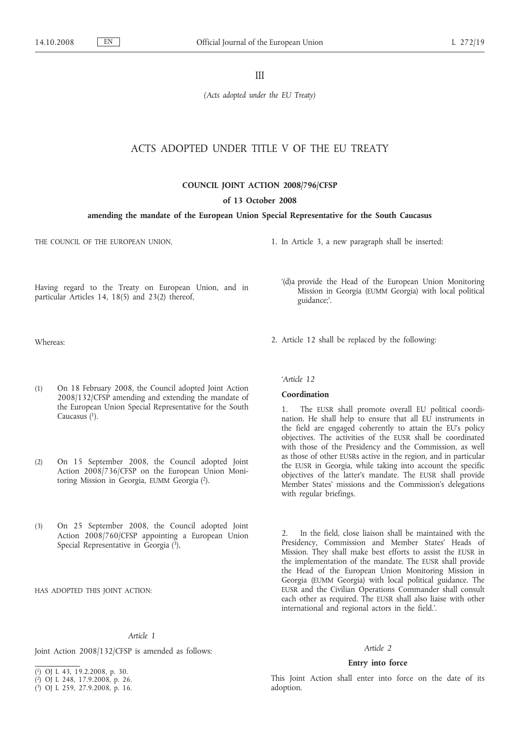III

*(Acts adopted under the EU Treaty)*

# ACTS ADOPTED UNDER TITLE V OF THE EU TREATY

#### **COUNCIL JOINT ACTION 2008/796/CFSP**

#### **of 13 October 2008**

#### **amending the mandate of the European Union Special Representative for the South Caucasus**

THE COUNCIL OF THE EUROPEAN UNION,

1. In Article 3, a new paragraph shall be inserted:

2. Article 12 shall be replaced by the following:

'(d)a provide the Head of the European Union Monitoring Mission in Georgia (EUMM Georgia) with local political

Having regard to the Treaty on European Union, and in particular Articles 14, 18(5) and 23(2) thereof,

Whereas:

- (1) On 18 February 2008, the Council adopted Joint Action 2008/132/CFSP amending and extending the mandate of the European Union Special Representative for the South Caucasus (1).
- (2) On 15 September 2008, the Council adopted Joint Action 2008/736/CFSP on the European Union Monitoring Mission in Georgia, EUMM Georgia (2).
- (3) On 25 September 2008, the Council adopted Joint Action 2008/760/CFSP appointing a European Union Special Representative in Georgia  $(\overline{3})$ ,

HAS ADOPTED THIS JOINT ACTION:

#### *Article 1*

Joint Action 2008/132/CFSP is amended as follows:

( 3) OJ L 259, 27.9.2008, p. 16.

# *'Article 12*

guidance;'.

#### **Coordination**

1. The EUSR shall promote overall EU political coordination. He shall help to ensure that all EU instruments in the field are engaged coherently to attain the EU's policy objectives. The activities of the EUSR shall be coordinated with those of the Presidency and the Commission, as well as those of other EUSRs active in the region, and in particular the EUSR in Georgia, while taking into account the specific objectives of the latter's mandate. The EUSR shall provide Member States' missions and the Commission's delegations with regular briefings.

2. In the field, close liaison shall be maintained with the Presidency, Commission and Member States' Heads of Mission. They shall make best efforts to assist the EUSR in the implementation of the mandate. The EUSR shall provide the Head of the European Union Monitoring Mission in Georgia (EUMM Georgia) with local political guidance. The EUSR and the Civilian Operations Commander shall consult each other as required. The EUSR shall also liaise with other international and regional actors in the field.'.

#### *Article 2*

#### **Entry into force**

This Joint Action shall enter into force on the date of its adoption.

<sup>(</sup> 1) OJ L 43, 19.2.2008, p. 30.

<sup>(</sup> 2) OJ L 248, 17.9.2008, p. 26.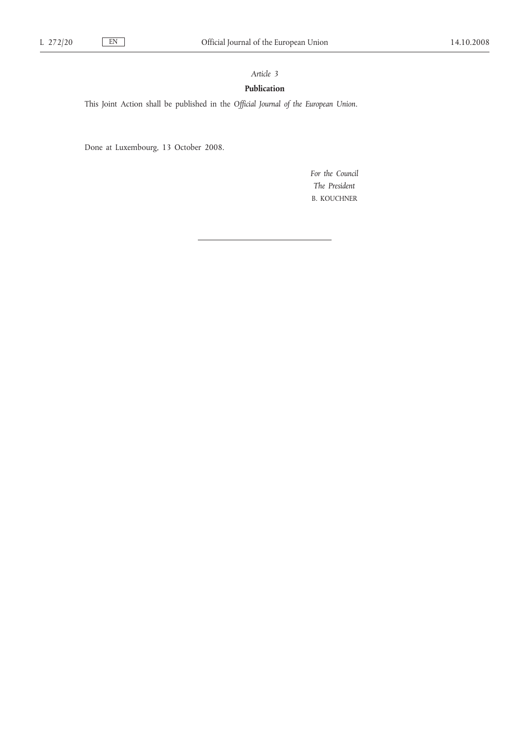# *Article 3*

#### **Publication**

This Joint Action shall be published in the *Official Journal of the European Union*.

Done at Luxembourg, 13 October 2008.

*For the Council The President* B. KOUCHNER